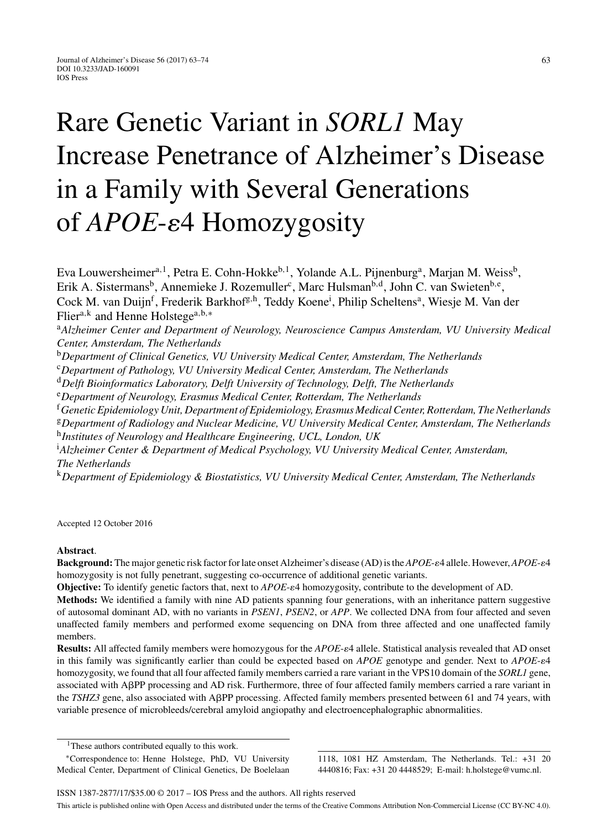# Rare Genetic Variant in *SORL1* May Increase Penetrance of Alzheimer's Disease in a Family with Several Generations of *APOE-* $\varepsilon$ 4 Homozygosity

Eva Louwersheimer<sup>a, 1</sup>, Petra E. Cohn-Hokke<sup>b, 1</sup>, Yolande A.L. Pijnenburg<sup>a</sup>, Marjan M. Weiss<sup>b</sup>, Erik A. Sistermans<sup>b</sup>, Annemieke J. Rozemuller<sup>c</sup>, Marc Hulsman<sup>b,d</sup>, John C. van Swieten<sup>b,e</sup>, Cock M. van Duijn<sup>f</sup>, Frederik Barkhof<sup>g,h</sup>, Teddy Koene<sup>i</sup>, Philip Scheltens<sup>a</sup>, Wiesje M. Van der Flier<sup>a,k</sup> and Henne Holstege<sup>a,b,\*</sup>

<sup>a</sup>*Alzheimer Center and Department of Neurology, Neuroscience Campus Amsterdam, VU University Medical Center, Amsterdam, The Netherlands*

<sup>b</sup>*Department of Clinical Genetics, VU University Medical Center, Amsterdam, The Netherlands*

<sup>c</sup>*Department of Pathology, VU University Medical Center, Amsterdam, The Netherlands*

<sup>d</sup>*Delft Bioinformatics Laboratory, Delft University of Technology, Delft, The Netherlands*

<sup>e</sup>*Department of Neurology, Erasmus Medical Center, Rotterdam, The Netherlands*

<sup>f</sup>*Genetic Epidemiology Unit, Department of Epidemiology, Erasmus Medical Center, Rotterdam, The Netherlands* <sup>g</sup>*Department of Radiology and Nuclear Medicine, VU University Medical Center, Amsterdam, The Netherlands*

<sup>h</sup>*Institutes of Neurology and Healthcare Engineering, UCL, London, UK*

i *Alzheimer Center & Department of Medical Psychology, VU University Medical Center, Amsterdam, The Netherlands*

<sup>k</sup>*Department of Epidemiology & Biostatistics, VU University Medical Center, Amsterdam, The Netherlands*

Accepted 12 October 2016

## **Abstract**.

**Background:** The major genetic risk factor for late onset Alzheimer's disease (AD) is the *APOE-e4* allele. However, *APOE-e4* homozygosity is not fully penetrant, suggesting co-occurrence of additional genetic variants.

Objective: To identify genetic factors that, next to  $APOE$ - $\varepsilon$ 4 homozygosity, contribute to the development of AD.

**Methods:** We identified a family with nine AD patients spanning four generations, with an inheritance pattern suggestive of autosomal dominant AD, with no variants in *PSEN1*, *PSEN2*, or *APP*. We collected DNA from four affected and seven unaffected family members and performed exome sequencing on DNA from three affected and one unaffected family members.

Results: All affected family members were homozygous for the *APOE-* $\varepsilon$ 4 allele. Statistical analysis revealed that AD onset in this family was significantly earlier than could be expected based on *APOE* genotype and gender. Next to *APOE*- $\varepsilon$ 4 homozygosity, we found that all four affected family members carried a rare variant in the VPS10 domain of the *SORL1* gene, associated with APP processing and AD risk. Furthermore, three of four affected family members carried a rare variant in the *TSHZ3* gene, also associated with APP processing. Affected family members presented between 61 and 74 years, with variable presence of microbleeds/cerebral amyloid angiopathy and electroencephalographic abnormalities.

1118, 1081 HZ Amsterdam, The Netherlands. Tel.: +31 20 4440816; Fax: +31 20 4448529; E-mail: [h.holstege@vumc.nl](mailto:h.holstege@vumc.nl).

<sup>&</sup>lt;sup>1</sup>These authors contributed equally to this work.

<sup>∗</sup>Correspondence to: Henne Holstege, PhD, VU University Medical Center, Department of Clinical Genetics, De Boelelaan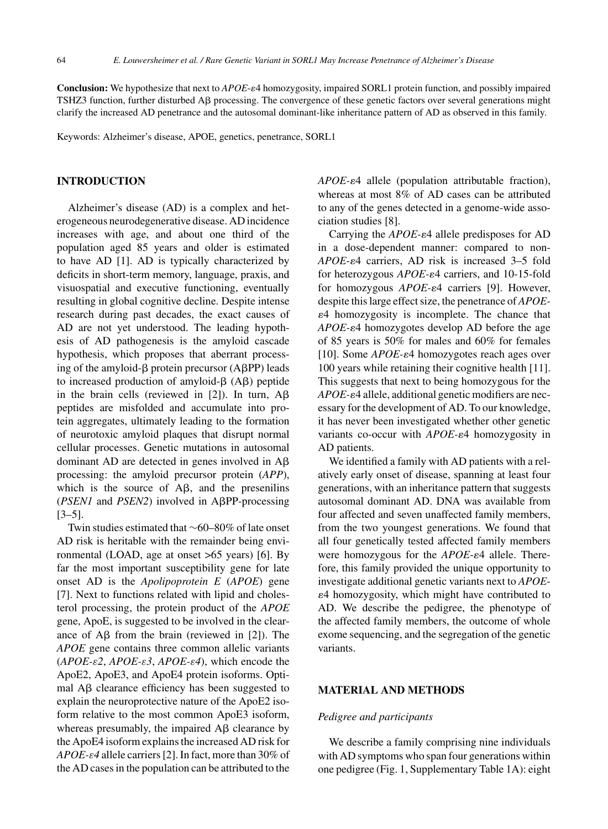**Conclusion:** We hypothesize that next to *APOE-* $e4$  homozygosity, impaired SORL1 protein function, and possibly impaired TSHZ3 function, further disturbed  $\overrightarrow{AB}$  processing. The convergence of these genetic factors over several generations might clarify the increased AD penetrance and the autosomal dominant-like inheritance pattern of AD as observed in this family.

Keywords: Alzheimer's disease, APOE, genetics, penetrance, SORL1

## **INTRODUCTION**

Alzheimer's disease (AD) is a complex and heterogeneous neurodegenerative disease. AD incidence increases with age, and about one third of the population aged 85 years and older is estimated to have AD [1]. AD is typically characterized by deficits in short-term memory, language, praxis, and visuospatial and executive functioning, eventually resulting in global cognitive decline. Despite intense research during past decades, the exact causes of AD are not yet understood. The leading hypothesis of AD pathogenesis is the amyloid cascade hypothesis, which proposes that aberrant processing of the amyloid- $\beta$  protein precursor (A $\beta$ PP) leads to increased production of amyloid- $\beta$  (A $\beta$ ) peptide in the brain cells (reviewed in [2]). In turn,  $A\beta$ peptides are misfolded and accumulate into protein aggregates, ultimately leading to the formation of neurotoxic amyloid plaques that disrupt normal cellular processes. Genetic mutations in autosomal dominant AD are detected in genes involved in  $A\beta$ processing: the amyloid precursor protein (*APP*), which is the source of  $A\beta$ , and the presenilins (*PSEN1* and *PSEN2*) involved in APP-processing [3–5].

Twin studies estimated that ∼60–80% of late onset AD risk is heritable with the remainder being environmental (LOAD, age at onset >65 years) [6]. By far the most important susceptibility gene for late onset AD is the *Apolipoprotein E* (*APOE*) gene [7]. Next to functions related with lipid and cholesterol processing, the protein product of the *APOE* gene, ApoE, is suggested to be involved in the clearance of  $\overrightarrow{AB}$  from the brain (reviewed in [2]). The *APOE* gene contains three common allelic variants (*APOE-*ε*2*, *APOE-*ε*3*, *APOE-*ε*4*), which encode the ApoE2, ApoE3, and ApoE4 protein isoforms. Optimal  $\text{A}\beta$  clearance efficiency has been suggested to explain the neuroprotective nature of the ApoE2 isoform relative to the most common ApoE3 isoform, whereas presumably, the impaired  $\overrightarrow{AB}$  clearance by the ApoE4 isoform explains the increased AD risk for *APOE-*ε*4* allele carriers [2]. In fact, more than 30% of the AD cases in the population can be attributed to the

APOE- $\epsilon$ 4 allele (population attributable fraction), whereas at most 8% of AD cases can be attributed to any of the genes detected in a genome-wide association studies [8].

Carrying the *APOE-* $\varepsilon$ 4 allele predisposes for AD in a dose-dependent manner: compared to non-*APOE-ε*4 carriers, AD risk is increased 3–5 fold for heterozygous *APOE-* $\varepsilon$ 4 carriers, and 10-15-fold for homozygous *APOE-* $\varepsilon$ 4 carriers [9]. However, despite this large effect size, the penetrance of *APOE-* -4 homozygosity is incomplete. The chance that APOE- $\varepsilon$ 4 homozygotes develop AD before the age of 85 years is 50% for males and 60% for females [10]. Some *APOE-ε*4 homozygotes reach ages over 100 years while retaining their cognitive health [11]. This suggests that next to being homozygous for the *APOE-*-4 allele, additional genetic modifiers are necessary for the development of AD. To our knowledge, it has never been investigated whether other genetic variants co-occur with *APOE-* $\varepsilon$ 4 homozygosity in AD patients.

We identified a family with AD patients with a relatively early onset of disease, spanning at least four generations, with an inheritance pattern that suggests autosomal dominant AD. DNA was available from four affected and seven unaffected family members, from the two youngest generations. We found that all four genetically tested affected family members were homozygous for the *APOE-* $\varepsilon$ 4 allele. Therefore, this family provided the unique opportunity to investigate additional genetic variants next to *APOE*- -4 homozygosity, which might have contributed to AD. We describe the pedigree, the phenotype of the affected family members, the outcome of whole exome sequencing, and the segregation of the genetic variants.

## **MATERIAL AND METHODS**

### *Pedigree and participants*

We describe a family comprising nine individuals with AD symptoms who span four generations within one pedigree (Fig. 1, Supplementary Table 1A): eight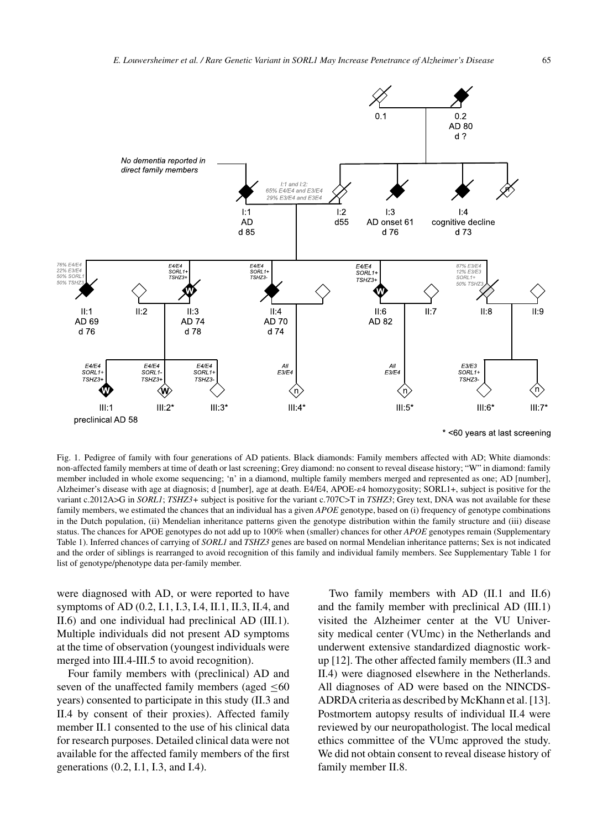

\* <60 years at last screening

Fig. 1. Pedigree of family with four generations of AD patients. Black diamonds: Family members affected with AD; White diamonds: non-affected family members at time of death or last screening; Grey diamond: no consent to reveal disease history; "W" in diamond: family member included in whole exome sequencing; 'n' in a diamond, multiple family members merged and represented as one; AD [number], Alzheimer's disease with age at diagnosis; d [number], age at death. E4/E4, APOE- $\varepsilon$ 4 homozygosity; SORL1+, subject is positive for the variant c.2012A>G in *SORL1*; *TSHZ3*+ subject is positive for the variant c.707C>T in *TSHZ3*; Grey text, DNA was not available for these family members, we estimated the chances that an individual has a given *APOE* genotype, based on (i) frequency of genotype combinations in the Dutch population, (ii) Mendelian inheritance patterns given the genotype distribution within the family structure and (iii) disease status. The chances for APOE genotypes do not add up to 100% when (smaller) chances for other *APOE* genotypes remain (Supplementary Table 1). Inferred chances of carrying of *SORL1* and *TSHZ3* genes are based on normal Mendelian inheritance patterns; Sex is not indicated and the order of siblings is rearranged to avoid recognition of this family and individual family members. See Supplementary Table 1 for list of genotype/phenotype data per-family member.

were diagnosed with AD, or were reported to have symptoms of AD (0.2, I.1, I.3, I.4, II.1, II.3, II.4, and II.6) and one individual had preclinical AD (III.1). Multiple individuals did not present AD symptoms at the time of observation (youngest individuals were merged into III.4-III.5 to avoid recognition).

Four family members with (preclinical) AD and seven of the unaffected family members (aged  $\leq 60$ ) years) consented to participate in this study (II.3 and II.4 by consent of their proxies). Affected family member II.1 consented to the use of his clinical data for research purposes. Detailed clinical data were not available for the affected family members of the first generations (0.2, I.1, I.3, and I.4).

Two family members with AD (II.1 and II.6) and the family member with preclinical AD (III.1) visited the Alzheimer center at the VU University medical center (VUmc) in the Netherlands and underwent extensive standardized diagnostic workup [12]. The other affected family members (II.3 and II.4) were diagnosed elsewhere in the Netherlands. All diagnoses of AD were based on the NINCDS-ADRDA criteria as described by McKhann et al. [13]. Postmortem autopsy results of individual II.4 were reviewed by our neuropathologist. The local medical ethics committee of the VUmc approved the study. We did not obtain consent to reveal disease history of family member II.8.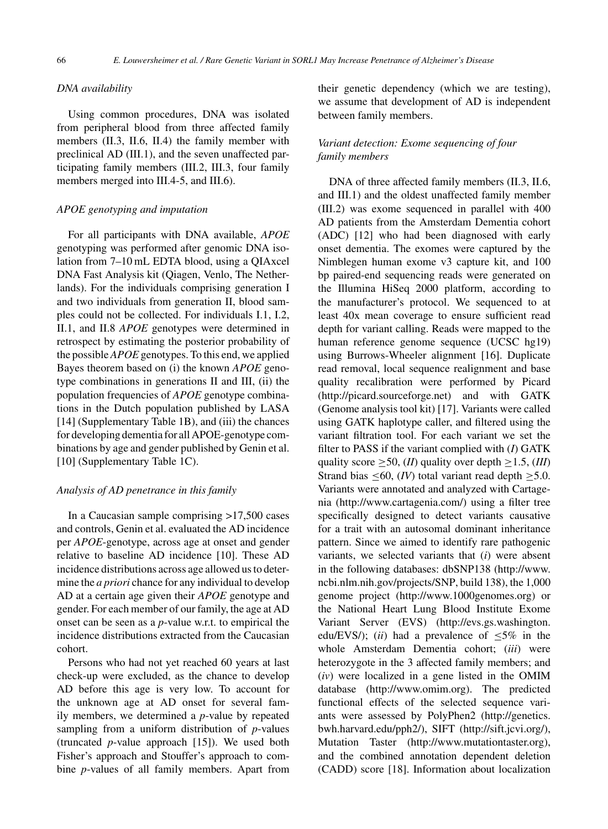## *DNA availability*

Using common procedures, DNA was isolated from peripheral blood from three affected family members (II.3, II.6, II.4) the family member with preclinical AD (III.1), and the seven unaffected participating family members (III.2, III.3, four family members merged into III.4-5, and III.6).

#### *APOE genotyping and imputation*

For all participants with DNA available, *APOE* genotyping was performed after genomic DNA isolation from 7–10 mL EDTA blood, using a QIAxcel DNA Fast Analysis kit (Qiagen, Venlo, The Netherlands). For the individuals comprising generation I and two individuals from generation II, blood samples could not be collected. For individuals I.1, I.2, II.1, and II.8 *APOE* genotypes were determined in retrospect by estimating the posterior probability of the possible *APOE* genotypes. To this end, we applied Bayes theorem based on (i) the known *APOE* genotype combinations in generations II and III, (ii) the population frequencies of *APOE* genotype combinations in the Dutch population published by LASA [14] (Supplementary Table 1B), and (iii) the chances for developing dementia for all APOE-genotype combinations by age and gender published by Genin et al. [10] (Supplementary Table 1C).

## *Analysis of AD penetrance in this family*

In a Caucasian sample comprising >17,500 cases and controls, Genin et al. evaluated the AD incidence per *APOE*-genotype, across age at onset and gender relative to baseline AD incidence [10]. These AD incidence distributions across age allowed us to determine the *a priori* chance for any individual to develop AD at a certain age given their *APOE* genotype and gender. For each member of our family, the age at AD onset can be seen as a *p*-value w.r.t. to empirical the incidence distributions extracted from the Caucasian cohort.

Persons who had not yet reached 60 years at last check-up were excluded, as the chance to develop AD before this age is very low. To account for the unknown age at AD onset for several family members, we determined a *p*-value by repeated sampling from a uniform distribution of *p*-values (truncated *p*-value approach [15]). We used both Fisher's approach and Stouffer's approach to combine *p*-values of all family members. Apart from

their genetic dependency (which we are testing), we assume that development of AD is independent between family members.

# *Variant detection: Exome sequencing of four family members*

DNA of three affected family members (II.3, II.6, and III.1) and the oldest unaffected family member (III.2) was exome sequenced in parallel with 400 AD patients from the Amsterdam Dementia cohort (ADC) [12] who had been diagnosed with early onset dementia. The exomes were captured by the Nimblegen human exome v3 capture kit, and 100 bp paired-end sequencing reads were generated on the Illumina HiSeq 2000 platform, according to the manufacturer's protocol. We sequenced to at least 40x mean coverage to ensure sufficient read depth for variant calling. Reads were mapped to the human reference genome sequence (UCSC hg19) using Burrows-Wheeler alignment [16]. Duplicate read removal, local sequence realignment and base quality recalibration were performed by Picard [\(http://picard.sourceforge.net\)](http://picard.sourceforge.net) and with GATK (Genome analysis tool kit) [17]. Variants were called using GATK haplotype caller, and filtered using the variant filtration tool. For each variant we set the filter to PASS if the variant complied with (*I*) GATK quality score  $\geq$  50, (*II*) quality over depth  $\geq$  1.5, (*III*) Strand bias  $\leq 60$ , *(IV)* total variant read depth  $\geq 5.0$ . Variants were annotated and analyzed with Cartagenia [\(http://www.cartagenia.com/\)](http://www.cartagenia.com/) using a filter tree specifically designed to detect variants causative for a trait with an autosomal dominant inheritance pattern. Since we aimed to identify rare pathogenic variants, we selected variants that (*i*) were absent in the following databases: dbSNP138 ([http://www.](http://www.ncbi.nlm.nih.gov/projects/SNP) [ncbi.nlm.nih.gov/projects/SNP,](http://www.ncbi.nlm.nih.gov/projects/SNP) build 138), the 1,000 genome project [\(http://www.1000genomes.org](http://www.1000genomes.org)) or the National Heart Lung Blood Institute Exome Variant Server (EVS) [\(http://evs.gs.washington.](http://evs.gs.washington.edu/EVS/) [edu/EVS/\)](http://evs.gs.washington.edu/EVS/); (*ii*) had a prevalence of ≤5% in the whole Amsterdam Dementia cohort; (*iii*) were heterozygote in the 3 affected family members; and (*iv*) were localized in a gene listed in the OMIM database [\(http://www.omim.org](http://www.omim.org)). The predicted functional effects of the selected sequence variants were assessed by PolyPhen2 [\(http://genetics.](http://genetics.bwh.harvard.edu/pph2/) [bwh.harvard.edu/pph2/\)](http://genetics.bwh.harvard.edu/pph2/), SIFT [\(http://sift.jcvi.org/](http://sift.jcvi.org/)), Mutation Taster [\(http://www.mutationtaster.org](http://www.mutationtaster.org)), and the combined annotation dependent deletion (CADD) score [18]. Information about localization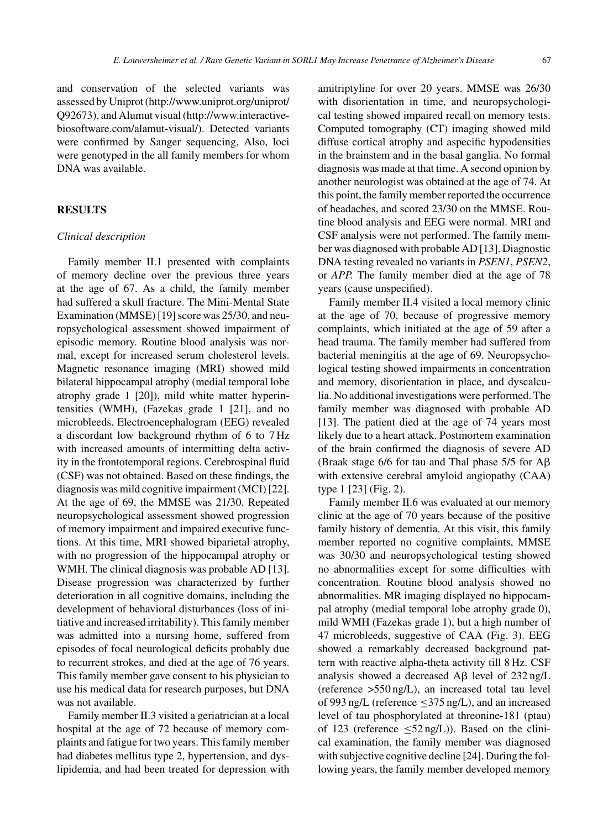and conservation of the selected variants was assessed by Uniprot [\(http://www.uniprot.org/uniprot/](http://www.uniprot.org/uniprot/Q92673) [Q92673](http://www.uniprot.org/uniprot/Q92673)), and Alumut visual (http://www.interactivebiosoftware.com/alamut-visual/). Detected variants were confirmed by Sanger sequencing, Also, loci were genotyped in the all family members for whom DNA was available.

## **RESULTS**

#### *Clinical description*

Family member II.1 presented with complaints of memory decline over the previous three years at the age of 67. As a child, the family member had suffered a skull fracture. The Mini-Mental State Examination (MMSE) [19] score was 25/30, and neuropsychological assessment showed impairment of episodic memory. Routine blood analysis was normal, except for increased serum cholesterol levels. Magnetic resonance imaging (MRI) showed mild bilateral hippocampal atrophy (medial temporal lobe atrophy grade 1 [20]), mild white matter hyperintensities (WMH), (Fazekas grade 1 [21], and no microbleeds. Electroencephalogram (EEG) revealed a discordant low background rhythm of 6 to 7 Hz with increased amounts of intermitting delta activity in the frontotemporal regions. Cerebrospinal fluid (CSF) was not obtained. Based on these findings, the diagnosis was mild cognitive impairment (MCI) [22]. At the age of 69, the MMSE was 21/30. Repeated neuropsychological assessment showed progression of memory impairment and impaired executive functions. At this time, MRI showed biparietal atrophy, with no progression of the hippocampal atrophy or WMH. The clinical diagnosis was probable AD [13]. Disease progression was characterized by further deterioration in all cognitive domains, including the development of behavioral disturbances (loss of initiative and increased irritability). This family member was admitted into a nursing home, suffered from episodes of focal neurological deficits probably due to recurrent strokes, and died at the age of 76 years. This family member gave consent to his physician to use his medical data for research purposes, but DNA was not available.

Family member II.3 visited a geriatrician at a local hospital at the age of 72 because of memory complaints and fatigue for two years. This family member had diabetes mellitus type 2, hypertension, and dyslipidemia, and had been treated for depression with

amitriptyline for over 20 years. MMSE was 26/30 with disorientation in time, and neuropsychologi[cal testing showed impair](http://www.interactive-biosoftware.com/alamut-visual/)ed recall on memory tests. Computed tomography (CT) imaging showed mild diffuse cortical atrophy and aspecific hypodensities in the brainstem and in the basal ganglia. No formal diagnosis was made at that time. A second opinion by another neurologist was obtained at the age of 74. At this point, the family member reported the occurrence of headaches, and scored 23/30 on the MMSE. Routine blood analysis and EEG were normal. MRI and CSF analysis were not performed. The family member was diagnosed with probable AD [13]. Diagnostic DNA testing revealed no variants in *PSEN1*, *PSEN2*, or *APP.* The family member died at the age of 78 years (cause unspecified).

Family member II.4 visited a local memory clinic at the age of 70, because of progressive memory complaints, which initiated at the age of 59 after a head trauma. The family member had suffered from bacterial meningitis at the age of 69. Neuropsychological testing showed impairments in concentration and memory, disorientation in place, and dyscalculia. No additional investigations were performed. The family member was diagnosed with probable AD [13]. The patient died at the age of 74 years most likely due to a heart attack. Postmortem examination of the brain confirmed the diagnosis of severe AD (Braak stage 6/6 for tau and Thal phase 5/5 for  $A\beta$ with extensive cerebral amyloid angiopathy (CAA) type 1 [23] (Fig. 2).

Family member II.6 was evaluated at our memory clinic at the age of 70 years because of the positive family history of dementia. At this visit, this family member reported no cognitive complaints, MMSE was 30/30 and neuropsychological testing showed no abnormalities except for some difficulties with concentration. Routine blood analysis showed no abnormalities. MR imaging displayed no hippocampal atrophy (medial temporal lobe atrophy grade 0), mild WMH (Fazekas grade 1), but a high number of 47 microbleeds, suggestive of CAA (Fig. 3). EEG showed a remarkably decreased background pattern with reactive alpha-theta activity till 8 Hz. CSF analysis showed a decreased  $\text{A}\beta$  level of 232 ng/L (reference >550 ng/L), an increased total tau level of 993 ng/L (reference  $\leq$ 375 ng/L), and an increased level of tau phosphorylated at threonine-181 (ptau) of 123 (reference  $\leq 52$  ng/L)). Based on the clinical examination, the family member was diagnosed with subjective cognitive decline [24]. During the following years, the family member developed memory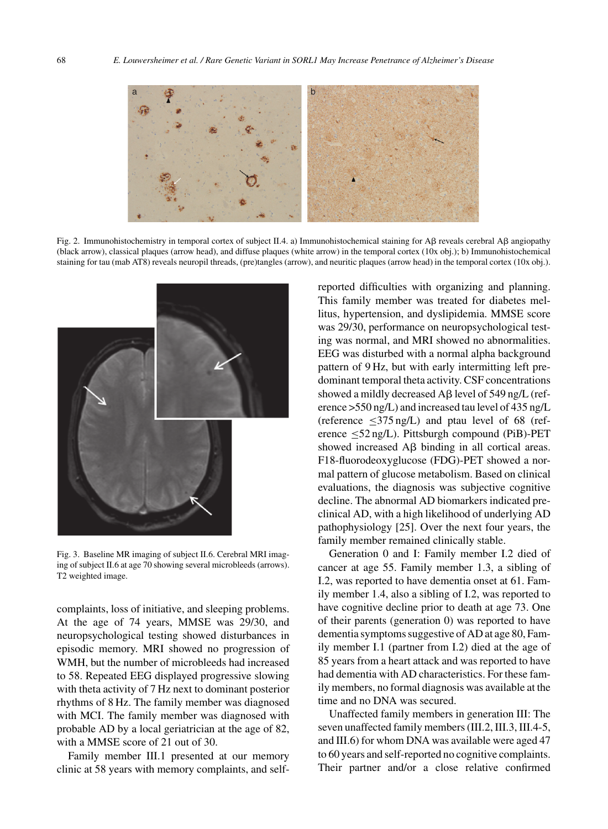

Fig. 2. Immunohistochemistry in temporal cortex of subject II.4. a) Immunohistochemical staining for A $\beta$  reveals cerebral A $\beta$  angiopathy (black arrow), classical plaques (arrow head), and diffuse plaques (white arrow) in the temporal cortex (10x obj.); b) Immunohistochemical staining for tau (mab AT8) reveals neuropil threads, (pre)tangles (arrow), and neuritic plaques (arrow head) in the temporal cortex (10x obj.).



Fig. 3. Baseline MR imaging of subject II.6. Cerebral MRI imaging of subject II.6 at age 70 showing several microbleeds (arrows). T2 weighted image.

complaints, loss of initiative, and sleeping problems. At the age of 74 years, MMSE was 29/30, and neuropsychological testing showed disturbances in episodic memory. MRI showed no progression of WMH, but the number of microbleeds had increased to 58. Repeated EEG displayed progressive slowing with theta activity of 7 Hz next to dominant posterior rhythms of 8 Hz. The family member was diagnosed with MCI. The family member was diagnosed with probable AD by a local geriatrician at the age of 82, with a MMSE score of 21 out of 30.

Family member III.1 presented at our memory clinic at 58 years with memory complaints, and selfreported difficulties with organizing and planning. This family member was treated for diabetes mellitus, hypertension, and dyslipidemia. MMSE score was 29/30, performance on neuropsychological testing was normal, and MRI showed no abnormalities. EEG was disturbed with a normal alpha background pattern of 9 Hz, but with early intermitting left predominant temporal theta activity. CSF concentrations showed a mildly decreased  $\overrightarrow{AB}$  level of 549 ng/L (reference >550 ng/L) and increased tau level of 435 ng/L (reference  $\leq$ 375 ng/L) and ptau level of 68 (reference  $\leq$ 52 ng/L). Pittsburgh compound (PiB)-PET showed increased  $\overrightarrow{AB}$  binding in all cortical areas. F18-fluorodeoxyglucose (FDG)-PET showed a normal pattern of glucose metabolism. Based on clinical evaluations, the diagnosis was subjective cognitive decline. The abnormal AD biomarkers indicated preclinical AD, with a high likelihood of underlying AD pathophysiology [25]. Over the next four years, the family member remained clinically stable.

Generation 0 and I: Family member I.2 died of cancer at age 55. Family member 1.3, a sibling of I.2, was reported to have dementia onset at 61. Family member 1.4, also a sibling of I.2, was reported to have cognitive decline prior to death at age 73. One of their parents (generation 0) was reported to have dementia symptoms suggestive of AD at age 80, Family member I.1 (partner from I.2) died at the age of 85 years from a heart attack and was reported to have had dementia with AD characteristics. For these family members, no formal diagnosis was available at the time and no DNA was secured.

Unaffected family members in generation III: The seven unaffected family members (III.2, III.3, III.4-5, and III.6) for whom DNA was available were aged 47 to 60 years and self-reported no cognitive complaints. Their partner and/or a close relative confirmed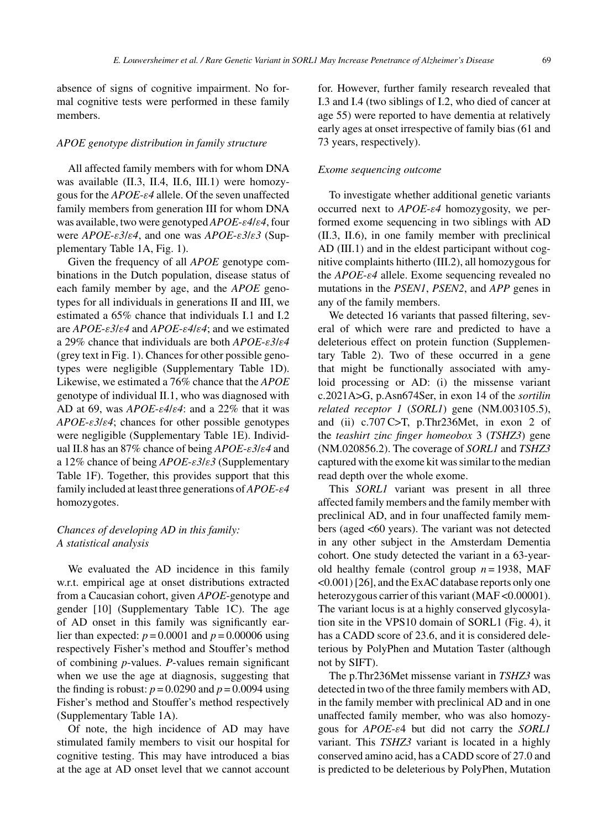absence of signs of cognitive impairment. No formal cognitive tests were performed in these family members.

## *APOE genotype distribution in family structure*

All affected family members with for whom DNA was available (II.3, II.4, II.6, III.1) were homozygous for the *APOE*-ε*4* allele. Of the seven unaffected family members from generation III for whom DNA was available, two were genotyped *APOE*-ε*4*/ε*4*, four were *APOE*-ε*3*/ε*4*, and one was *APOE*-ε*3*/ε*3* (Supplementary Table 1A, Fig. 1).

Given the frequency of all *APOE* genotype combinations in the Dutch population, disease status of each family member by age, and the *APOE* genotypes for all individuals in generations II and III, we estimated a 65% chance that individuals I.1 and I.2 are *APOE*-ε*3*/ε*4* and *APOE*-ε*4*/ε*4*; and we estimated a 29% chance that individuals are both *APOE*-ε*3*/ε*4* (grey text in Fig. 1). Chances for other possible genotypes were negligible (Supplementary Table 1D). Likewise, we estimated a 76% chance that the *APOE* genotype of individual II.1, who was diagnosed with AD at 69, was *APOE*-ε*4*/ε*4*: and a 22% that it was *APOE*-ε*3*/ε*4*; chances for other possible genotypes were negligible (Supplementary Table 1E). Individual II.8 has an 87% chance of being *APOE*-ε*3*/ε*4* and a 12% chance of being *APOE*-ε*3*/ε*3* (Supplementary Table 1F). Together, this provides support that this family included at least three generations of*APOE*-ε*4* homozygotes.

# *Chances of developing AD in this family: A statistical analysis*

We evaluated the AD incidence in this family w.r.t. empirical age at onset distributions extracted from a Caucasian cohort, given *APOE*-genotype and gender [10] (Supplementary Table 1C). The age of AD onset in this family was significantly earlier than expected:  $p = 0.0001$  and  $p = 0.00006$  using respectively Fisher's method and Stouffer's method of combining *p*-values. *P*-values remain significant when we use the age at diagnosis, suggesting that the finding is robust:  $p = 0.0290$  and  $p = 0.0094$  using Fisher's method and Stouffer's method respectively (Supplementary Table 1A).

Of note, the high incidence of AD may have stimulated family members to visit our hospital for cognitive testing. This may have introduced a bias at the age at AD onset level that we cannot account for. However, further family research revealed that I.3 and I.4 (two siblings of I.2, who died of cancer at age 55) were reported to have dementia at relatively early ages at onset irrespective of family bias (61 and 73 years, respectively).

#### *Exome sequencing outcome*

To investigate whether additional genetic variants occurred next to *APOE*-ε*4* homozygosity, we performed exome sequencing in two siblings with AD (II.3, II.6), in one family member with preclinical AD (III.1) and in the eldest participant without cognitive complaints hitherto (III.2), all homozygous for the *APOE*-ε*4* allele. Exome sequencing revealed no mutations in the *PSEN1*, *PSEN2*, and *APP* genes in any of the family members.

We detected 16 variants that passed filtering, several of which were rare and predicted to have a deleterious effect on protein function (Supplementary Table 2). Two of these occurred in a gene that might be functionally associated with amyloid processing or AD: (i) the missense variant c.2021A>G, p.Asn674Ser, in exon 14 of the *sortilin related receptor 1* (*SORL1*) gene (NM.003105.5), and (ii) c.707 C>T, p.Thr236Met, in exon 2 of the *teashirt zinc finger homeobox* 3 (*TSHZ3*) gene (NM.020856.2). The coverage of *SORL1* and *TSHZ3* captured with the exome kit was similar to the median read depth over the whole exome.

This *SORL1* variant was present in all three affected family members and the family member with preclinical AD, and in four unaffected family members (aged <60 years). The variant was not detected in any other subject in the Amsterdam Dementia cohort. One study detected the variant in a 63-yearold healthy female (control group *n* = 1938, MAF <0.001) [26], and the ExAC database reports only one heterozygous carrier of this variant (MAF < 0.00001). The variant locus is at a highly conserved glycosylation site in the VPS10 domain of SORL1 (Fig. 4), it has a CADD score of 23.6, and it is considered deleterious by PolyPhen and Mutation Taster (although not by SIFT).

The p.Thr236Met missense variant in *TSHZ3* was detected in two of the three family members with AD, in the family member with preclinical AD and in one unaffected family member, who was also homozygous for *APOE*-ε4 but did not carry the *SORL1* variant. This *TSHZ3* variant is located in a highly conserved amino acid, has a CADD score of 27.0 and is predicted to be deleterious by PolyPhen, Mutation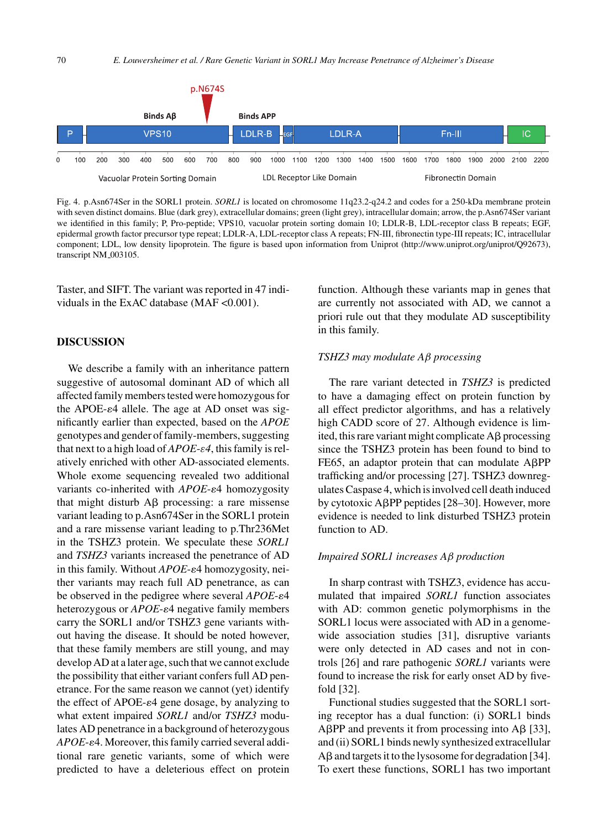

Fig. 4. p.Asn674Ser in the SORL1 protein. *SORL1* is located on chromosome 11q23.2-q24.2 and codes for a 250-kDa membrane protein with seven distinct domains. Blue (dark grey), extracellular domains; green (light grey), intracellular domain; arrow, the p.Asn674Ser variant we identified in this family; P, Pro-peptide; VPS10, vacuolar protein sorting domain 10; LDLR-B, LDL-receptor class B repeats; EGF, epidermal growth factor precursor type repeat; LDLR-A, LDL-receptor class A repeats; FN-III, fibronectin type-III repeats; IC, intracellular component; LDL, low density lipoprotein. The figure is based upon information from Uniprot [\(http://www.uniprot.org/uniprot/Q92673\)](http://www.uniprot.org/uniprot/Q92673), transcript NM<sub>-003105</sub>.

Taster, and SIFT. The variant was reported in 47 individuals in the ExAC database (MAF < 0.001).

## **DISCUSSION**

We describe a family with an inheritance pattern suggestive of autosomal dominant AD of which all affected family members tested were homozygous for the APOE- $\varepsilon$ 4 allele. The age at AD onset was significantly earlier than expected, based on the *APOE* genotypes and gender of family-members, suggesting that next to a high load of *APOE*-ε*4*, this family is relatively enriched with other AD-associated elements. Whole exome sequencing revealed two additional variants co-inherited with *APOE-* $\varepsilon$ 4 homozygosity that might disturb  $\overrightarrow{AB}$  processing: a rare missense variant leading to p.Asn674Ser in the SORL1 protein and a rare missense variant leading to p.Thr236Met in the TSHZ3 protein. We speculate these *SORL1* and *TSHZ3* variants increased the penetrance of AD in this family. Without *APOE-* $\varepsilon$ 4 homozygosity, neither variants may reach full AD penetrance, as can be observed in the pedigree where several *APOE-* $\varepsilon$ 4 heterozygous or *APOE-* $\varepsilon$ 4 negative family members carry the SORL1 and/or TSHZ3 gene variants without having the disease. It should be noted however, that these family members are still young, and may develop AD at a later age, such that we cannot exclude the possibility that either variant confers full AD penetrance. For the same reason we cannot (yet) identify the effect of APOE- $\varepsilon$ 4 gene dosage, by analyzing to what extent impaired *SORL1* and/or *TSHZ3* modulates AD penetrance in a background of heterozygous APOE- $\varepsilon$ 4. Moreover, this family carried several additional rare genetic variants, some of which were predicted to have a deleterious effect on protein

function. Although these variants map in genes that are currently not associated with AD, we cannot a priori rule out that they modulate AD susceptibility in this family.

#### *TSHZ3 may modulate A*β *processing*

The rare variant detected in *TSHZ3* is predicted to have a damaging effect on protein function by all effect predictor algorithms, and has a relatively high CADD score of 27. Although evidence is limited, this rare variant might complicate  $\overrightarrow{AB}$  processing since the TSHZ3 protein has been found to bind to FE65, an adaptor protein that can modulate APP trafficking and/or processing [27]. TSHZ3 downregulates Caspase 4, which is involved cell death induced by cytotoxic APP peptides [28–30]. However, more evidence is needed to link disturbed TSHZ3 protein function to AD.

#### *Impaired SORL1 increases A*β *production*

In sharp contrast with TSHZ3, evidence has accumulated that impaired *SORL1* function associates with AD: common genetic polymorphisms in the SORL1 locus were associated with AD in a genomewide association studies [31], disruptive variants were only detected in AD cases and not in controls [26] and rare pathogenic *SORL1* variants were found to increase the risk for early onset AD by fivefold [32].

Functional studies suggested that the SORL1 sorting receptor has a dual function: (i) SORL1 binds  $A\beta PP$  and prevents it from processing into  $A\beta$  [33], and (ii) SORL1 binds newly synthesized extracellular  $A\beta$  and targets it to the lysosome for degradation [34]. To exert these functions, SORL1 has two important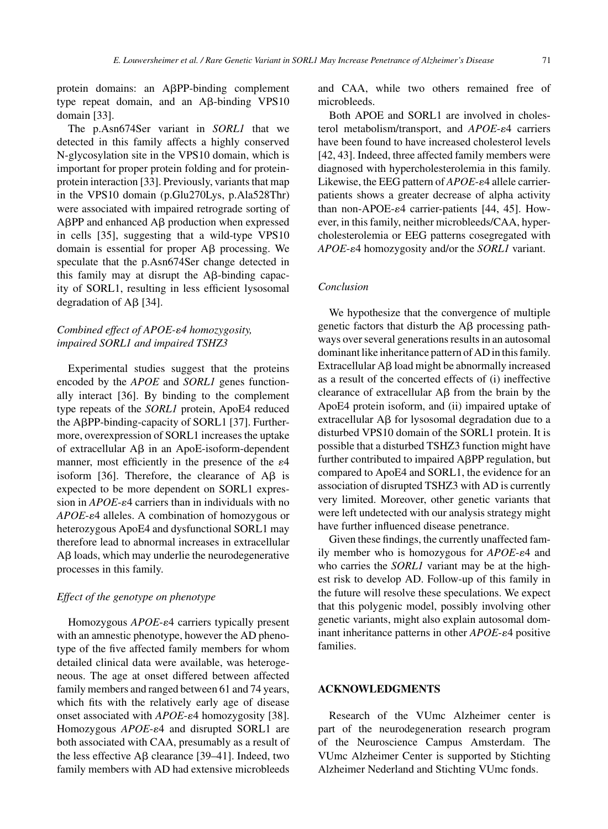protein domains: an APP-binding complement type repeat domain, and an  $\text{A}\beta$ -binding VPS10 domain [33].

The p.Asn674Ser variant in *SORL1* that we detected in this family affects a highly conserved N-glycosylation site in the VPS10 domain, which is important for proper protein folding and for proteinprotein interaction [33]. Previously, variants that map in the VPS10 domain (p.Glu270Lys, p.Ala528Thr) were associated with impaired retrograde sorting of  $A\beta PP$  and enhanced  $A\beta$  production when expressed in cells [35], suggesting that a wild-type VPS10 domain is essential for proper  $\overrightarrow{AB}$  processing. We speculate that the p.Asn674Ser change detected in this family may at disrupt the  $\overline{AB}$ -binding capacity of SORL1, resulting in less efficient lysosomal degradation of  $\overline{AB}$  [34].

# *Combined effect of APOE-*-*4 homozygosity, impaired SORL1 and impaired TSHZ3*

Experimental studies suggest that the proteins encoded by the *APOE* and *SORL1* genes functionally interact [36]. By binding to the complement type repeats of the *SORL1* protein, ApoE4 reduced the AβPP-binding-capacity of SORL1 [37]. Furthermore, overexpression of SORL1 increases the uptake of extracellular  $\overrightarrow{AB}$  in an ApoE-isoform-dependent manner, most efficiently in the presence of the  $\varepsilon$ 4 isoform [36]. Therefore, the clearance of  $\overrightarrow{AB}$  is expected to be more dependent on SORL1 expression in  $APOE$ - $\varepsilon$ 4 carriers than in individuals with no APOE-ε4 alleles. A combination of homozygous or heterozygous ApoE4 and dysfunctional SORL1 may therefore lead to abnormal increases in extracellular  $\Delta \beta$  loads, which may underlie the neurodegenerative processes in this family.

## *Effect of the genotype on phenotype*

Homozygous *APOE-* $\varepsilon$ 4 carriers typically present with an amnestic phenotype, however the AD phenotype of the five affected family members for whom detailed clinical data were available, was heterogeneous. The age at onset differed between affected family members and ranged between 61 and 74 years, which fits with the relatively early age of disease onset associated with *APOE-* $\varepsilon$ 4 homozygosity [38]. Homozygous APOE- $\varepsilon$ 4 and disrupted SORL1 are both associated with CAA, presumably as a result of the less effective  $\mathbf{A}\mathbf{\beta}$  clearance [39–41]. Indeed, two family members with AD had extensive microbleeds

and CAA, while two others remained free of microbleeds.

Both APOE and SORL1 are involved in cholesterol metabolism/transport, and APOE- $\varepsilon$ 4 carriers have been found to have increased cholesterol levels [42, 43]. Indeed, three affected family members were diagnosed with hypercholesterolemia in this family. Likewise, the EEG pattern of *APOE*- $\varepsilon$ 4 allele carrierpatients shows a greater decrease of alpha activity than non-APOE- $\varepsilon$ 4 carrier-patients [44, 45]. However, in this family, neither microbleeds/CAA, hypercholesterolemia or EEG patterns cosegregated with APOE-ε4 homozygosity and/or the *SORL1* variant.

#### *Conclusion*

We hypothesize that the convergence of multiple genetic factors that disturb the  $\overrightarrow{AB}$  processing pathways over several generations results in an autosomal dominant like inheritance pattern of AD in this family. Extracellular  $\overline{AB}$  load might be abnormally increased as a result of the concerted effects of (i) ineffective clearance of extracellular  $\overrightarrow{AB}$  from the brain by the ApoE4 protein isoform, and (ii) impaired uptake of extracellular  $\overrightarrow{AB}$  for lysosomal degradation due to a disturbed VPS10 domain of the SORL1 protein. It is possible that a disturbed TSHZ3 function might have further contributed to impaired APP regulation, but compared to ApoE4 and SORL1, the evidence for an association of disrupted TSHZ3 with AD is currently very limited. Moreover, other genetic variants that were left undetected with our analysis strategy might have further influenced disease penetrance.

Given these findings, the currently unaffected family member who is homozygous for *APOE*- $\varepsilon$ 4 and who carries the *SORL1* variant may be at the highest risk to develop AD. Follow-up of this family in the future will resolve these speculations. We expect that this polygenic model, possibly involving other genetic variants, might also explain autosomal dominant inheritance patterns in other *APOE*- $\varepsilon$ 4 positive families.

## **ACKNOWLEDGMENTS**

Research of the VUmc Alzheimer center is part of the neurodegeneration research program of the Neuroscience Campus Amsterdam. The VUmc Alzheimer Center is supported by Stichting Alzheimer Nederland and Stichting VUmc fonds.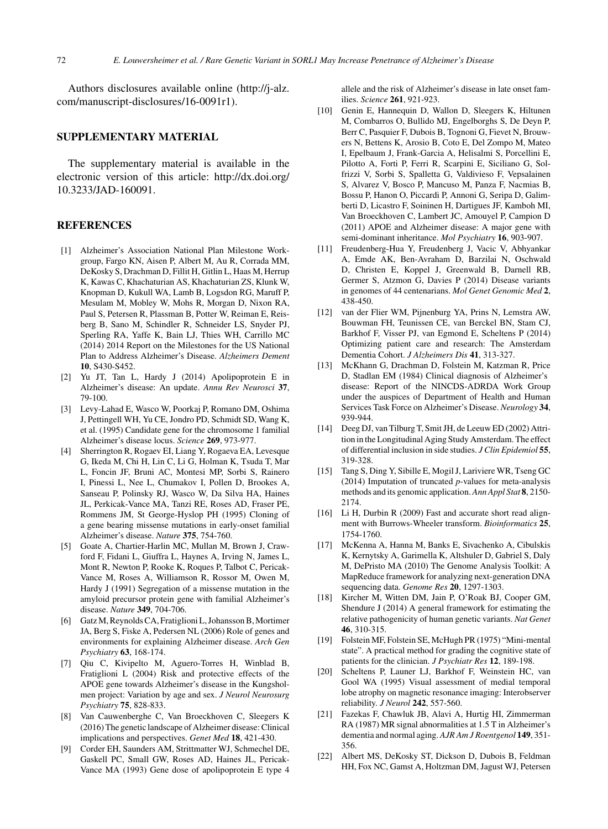Authors disclosures available online [\(http://j-alz.](http://j-alz.com/manuscript-disclosures/16-0091r1) [com/manuscript-disclosures/16-0091r1](http://j-alz.com/manuscript-disclosures/16-0091r1)).

# **SUPPLEMENTARY MATERIAL**

The supplementary material is available in the electronic version of this article: [http://dx.doi.org/](http://dx.doi.org/10.3233/JAD-160091) [10.3233/JAD-160091.](http://dx.doi.org/10.3233/JAD-160091)

## **REFERENCES**

- [1] Alzheimer's Association National Plan Milestone Workgroup, Fargo KN, Aisen P, Albert M, Au R, Corrada MM, DeKosky S, Drachman D, Fillit H, Gitlin L, Haas M, Herrup K, Kawas C, Khachaturian AS, Khachaturian ZS, Klunk W, Knopman D, Kukull WA, Lamb B, Logsdon RG, Maruff P, Mesulam M, Mobley W, Mohs R, Morgan D, Nixon RA, Paul S, Petersen R, Plassman B, Potter W, Reiman E, Reisberg B, Sano M, Schindler R, Schneider LS, Snyder PJ, Sperling RA, Yaffe K, Bain LJ, Thies WH, Carrillo MC (2014) 2014 Report on the Milestones for the US National Plan to Address Alzheimer's Disease. *Alzheimers Dement* **10**, S430-S452.
- [2] Yu JT, Tan L, Hardy J (2014) Apolipoprotein E in Alzheimer's disease: An update. *Annu Rev Neurosci* **37**, 79-100.
- [3] Levy-Lahad E, Wasco W, Poorkaj P, Romano DM, Oshima J, Pettingell WH, Yu CE, Jondro PD, Schmidt SD, Wang K, et al. (1995) Candidate gene for the chromosome 1 familial Alzheimer's disease locus. *Science* **269**, 973-977.
- [4] Sherrington R, Rogaev EI, Liang Y, Rogaeva EA, Levesque G, Ikeda M, Chi H, Lin C, Li G, Holman K, Tsuda T, Mar L, Foncin JF, Bruni AC, Montesi MP, Sorbi S, Rainero I, Pinessi L, Nee L, Chumakov I, Pollen D, Brookes A, Sanseau P, Polinsky RJ, Wasco W, Da Silva HA, Haines JL, Perkicak-Vance MA, Tanzi RE, Roses AD, Fraser PE, Rommens JM, St George-Hyslop PH (1995) Cloning of a gene bearing missense mutations in early-onset familial Alzheimer's disease. *Nature* **375**, 754-760.
- [5] Goate A, Chartier-Harlin MC, Mullan M, Brown J, Crawford F, Fidani L, Giuffra L, Haynes A, Irving N, James L, Mont R, Newton P, Rooke K, Roques P, Talbot C, Pericak-Vance M, Roses A, Williamson R, Rossor M, Owen M, Hardy J (1991) Segregation of a missense mutation in the amyloid precursor protein gene with familial Alzheimer's disease. *Nature* **349**, 704-706.
- [6] Gatz M, Reynolds CA, Fratiglioni L, Johansson B, Mortimer JA, Berg S, Fiske A, Pedersen NL (2006) Role of genes and environments for explaining Alzheimer disease. *Arch Gen Psychiatry* **63**, 168-174.
- [7] Qiu C, Kivipelto M, Aguero-Torres H, Winblad B, Fratiglioni L (2004) Risk and protective effects of the APOE gene towards Alzheimer's disease in the Kungsholmen project: Variation by age and sex. *J Neurol Neurosurg Psychiatry* **75**, 828-833.
- [8] Van Cauwenberghe C, Van Broeckhoven C, Sleegers K (2016) The genetic landscape of Alzheimer disease: Clinical implications and perspectives. *Genet Med* **18**, 421-430.
- [9] Corder EH, Saunders AM, Strittmatter WJ, Schmechel DE, Gaskell PC, Small GW, Roses AD, Haines JL, Pericak-Vance MA (1993) Gene dose of apolipoprotein E type 4

allele and the risk of Alzheimer's disease in late onset families. *Science* **261**, 921-923.

- [10] Genin E, Hannequin D, Wallon D, Sleegers K, Hiltunen M, Combarros O, Bullido MJ, Engelborghs S, De Deyn P, Berr C, Pasquier F, Dubois B, Tognoni G, Fievet N, Brouwers N, Bettens K, Arosio B, Coto E, Del Zompo M, Mateo I, Epelbaum J, Frank-Garcia A, Helisalmi S, Porcellini E, Pilotto A, Forti P, Ferri R, Scarpini E, Siciliano G, Solfrizzi V, Sorbi S, Spalletta G, Valdivieso F, Vepsalainen S, Alvarez V, Bosco P, Mancuso M, Panza F, Nacmias B, Bossu P, Hanon O, Piccardi P, Annoni G, Seripa D, Galimberti D, Licastro F, Soininen H, Dartigues JF, Kamboh MI, Van Broeckhoven C, Lambert JC, Amouyel P, Campion D (2011) APOE and Alzheimer disease: A major gene with semi-dominant inheritance. *Mol Psychiatry* **16**, 903-907.
- [11] Freudenberg-Hua Y, Freudenberg J, Vacic V, Abhyankar A, Emde AK, Ben-Avraham D, Barzilai N, Oschwald D, Christen E, Koppel J, Greenwald B, Darnell RB, Germer S, Atzmon G, Davies P (2014) Disease variants in genomes of 44 centenarians. *Mol Genet Genomic Med* **2**, 438-450.
- [12] van der Flier WM, Pijnenburg YA, Prins N, Lemstra AW, Bouwman FH, Teunissen CE, van Berckel BN, Stam CJ, Barkhof F, Visser PJ, van Egmond E, Scheltens P (2014) Optimizing patient care and research: The Amsterdam Dementia Cohort. *J Alzheimers Dis* **41**, 313-327.
- [13] McKhann G, Drachman D, Folstein M, Katzman R, Price D, Stadlan EM (1984) Clinical diagnosis of Alzheimer's disease: Report of the NINCDS-ADRDA Work Group under the auspices of Department of Health and Human Services Task Force on Alzheimer's Disease. *Neurology* **34**, 939-944.
- [14] Deeg DJ, van Tilburg T, Smit JH, de Leeuw ED (2002) Attrition in the Longitudinal Aging Study Amsterdam. The effect of differential inclusion in side studies. *J Clin Epidemiol* **55**, 319-328.
- [15] Tang S, Ding Y, Sibille E, Mogil J, Lariviere WR, Tseng GC (2014) Imputation of truncated *p*-values for meta-analysis methods and its genomic application. *Ann Appl Stat* **8**, 2150- 2174.
- [16] Li H, Durbin R (2009) Fast and accurate short read alignment with Burrows-Wheeler transform. *Bioinformatics* **25**, 1754-1760.
- [17] McKenna A, Hanna M, Banks E, Sivachenko A, Cibulskis K, Kernytsky A, Garimella K, Altshuler D, Gabriel S, Daly M, DePristo MA (2010) The Genome Analysis Toolkit: A MapReduce framework for analyzing next-generation DNA sequencing data. *Genome Res* **20**, 1297-1303.
- [18] Kircher M, Witten DM, Jain P, O'Roak BJ, Cooper GM, Shendure J (2014) A general framework for estimating the relative pathogenicity of human genetic variants. *Nat Genet* **46**, 310-315.
- [19] Folstein MF, Folstein SE, McHugh PR (1975) "Mini-mental state". A practical method for grading the cognitive state of patients for the clinician. *J Psychiatr Res* **12**, 189-198.
- [20] Scheltens P, Launer LJ, Barkhof F, Weinstein HC, van Gool WA (1995) Visual assessment of medial temporal lobe atrophy on magnetic resonance imaging: Interobserver reliability. *J Neurol* **242**, 557-560.
- [21] Fazekas F, Chawluk JB, Alavi A, Hurtig HI, Zimmerman RA (1987) MR signal abnormalities at 1.5 T in Alzheimer's dementia and normal aging. *AJR Am J Roentgenol* **149**, 351- 356.
- [22] Albert MS, DeKosky ST, Dickson D, Dubois B, Feldman HH, Fox NC, Gamst A, Holtzman DM, Jagust WJ, Petersen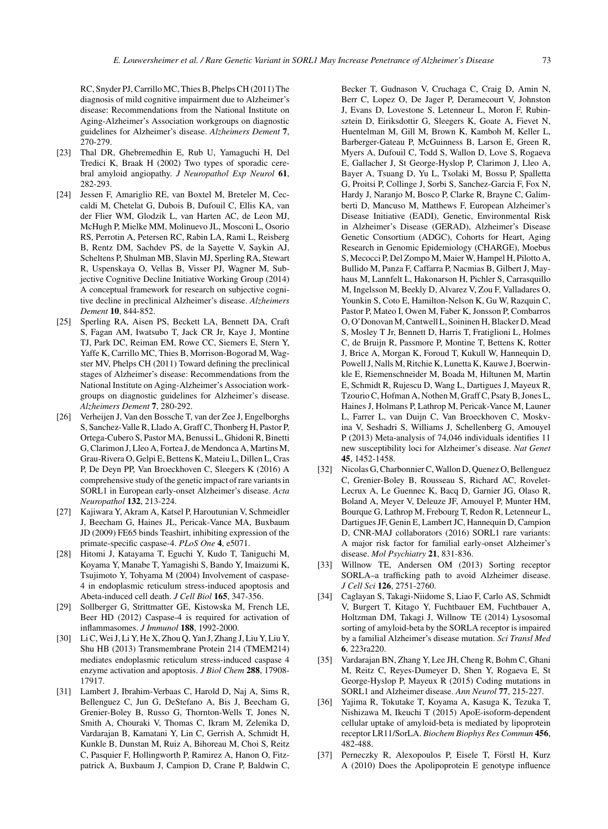RC, Snyder PJ, Carrillo MC, Thies B, Phelps CH (2011) The diagnosis of mild cognitive impairment due to Alzheimer's disease: Recommendations from the National Institute on Aging-Alzheimer's Association workgroups on diagnostic guidelines for Alzheimer's disease. *Alzheimers Dement* **7**, 270-279.

- [23] Thal DR, Ghebremedhin E, Rub U, Yamaguchi H, Del Tredici K, Braak H (2002) Two types of sporadic cerebral amyloid angiopathy. *J Neuropathol Exp Neurol* **61**, 282-293.
- [24] Jessen F, Amariglio RE, van Boxtel M, Breteler M, Ceccaldi M, Chetelat G, Dubois B, Dufouil C, Ellis KA, van der Flier WM, Glodzik L, van Harten AC, de Leon MJ, McHugh P, Mielke MM, Molinuevo JL, Mosconi L, Osorio RS, Perrotin A, Petersen RC, Rabin LA, Rami L, Reisberg B, Rentz DM, Sachdev PS, de la Sayette V, Saykin AJ, Scheltens P, Shulman MB, Slavin MJ, Sperling RA, Stewart R, Uspenskaya O, Vellas B, Visser PJ, Wagner M, Subjective Cognitive Decline Initiative Working Group (2014) A conceptual framework for research on subjective cognitive decline in preclinical Alzheimer's disease. *Alzheimers Dement* **10**, 844-852.
- [25] Sperling RA, Aisen PS, Beckett LA, Bennett DA, Craft S, Fagan AM, Iwatsubo T, Jack CR Jr, Kaye J, Montine TJ, Park DC, Reiman EM, Rowe CC, Siemers E, Stern Y, Yaffe K, Carrillo MC, Thies B, Morrison-Bogorad M, Wagster MV, Phelps CH (2011) Toward defining the preclinical stages of Alzheimer's disease: Recommendations from the National Institute on Aging-Alzheimer's Association workgroups on diagnostic guidelines for Alzheimer's disease. *Alzheimers Dement* **7**, 280-292.
- [26] Verheijen J, Van den Bossche T, van der Zee J, Engelborghs S, Sanchez-Valle R, Llado A, Graff C, Thonberg H, Pastor P, Ortega-Cubero S, Pastor MA, Benussi L, Ghidoni R, Binetti G, Clarimon J, Lleo A, Fortea J, de Mendonca A, Martins M, Grau-Rivera O, Gelpi E, Bettens K, Mateiu L, Dillen L, Cras P, De Deyn PP, Van Broeckhoven C, Sleegers K (2016) A comprehensive study of the genetic impact of rare variants in SORL1 in European early-onset Alzheimer's disease. *Acta Neuropathol* **132**, 213-224.
- [27] Kajiwara Y, Akram A, Katsel P, Haroutunian V, Schmeidler J, Beecham G, Haines JL, Pericak-Vance MA, Buxbaum JD (2009) FE65 binds Teashirt, inhibiting expression of the primate-specific caspase-4. *PLoS One* **4**, e5071.
- [28] Hitomi J, Katayama T, Eguchi Y, Kudo T, Taniguchi M, Koyama Y, Manabe T, Yamagishi S, Bando Y, Imaizumi K, Tsujimoto Y, Tohyama M (2004) Involvement of caspase-4 in endoplasmic reticulum stress-induced apoptosis and Abeta-induced cell death. *J Cell Biol* **165**, 347-356.
- [29] Sollberger G, Strittmatter GE, Kistowska M, French LE, Beer HD (2012) Caspase-4 is required for activation of inflammasomes. *J Immunol* **188**, 1992-2000.
- [30] Li C, Wei J, Li Y, He X, Zhou Q, Yan J, Zhang J, Liu Y, Liu Y, Shu HB (2013) Transmembrane Protein 214 (TMEM214) mediates endoplasmic reticulum stress-induced caspase 4 enzyme activation and apoptosis. *J Biol Chem* **288**, 17908- 17917.
- [31] Lambert J, Ibrahim-Verbaas C, Harold D, Naj A, Sims R, Bellenguez C, Jun G, DeStefano A, Bis J, Beecham G, Grenier-Boley B, Russo G, Thornton-Wells T, Jones N, Smith A, Chouraki V, Thomas C, Ikram M, Zelenika D, Vardarajan B, Kamatani Y, Lin C, Gerrish A, Schmidt H, Kunkle B, Dunstan M, Ruiz A, Bihoreau M, Choi S, Reitz C, Pasquier F, Hollingworth P, Ramirez A, Hanon O, Fitzpatrick A, Buxbaum J, Campion D, Crane P, Baldwin C,

Becker T, Gudnason V, Cruchaga C, Craig D, Amin N, Berr C, Lopez O, De Jager P, Deramecourt V, Johnston J, Evans D, Lovestone S, Letenneur L, Moron F, Rubinsztein D, Eiriksdottir G, Sleegers K, Goate A, Fievet N, Huentelman M, Gill M, Brown K, Kamboh M, Keller L, Barberger-Gateau P, McGuinness B, Larson E, Green R, Myers A, Dufouil C, Todd S, Wallon D, Love S, Rogaeva E, Gallacher J, St George-Hyslop P, Clarimon J, Lleo A, Bayer A, Tsuang D, Yu L, Tsolaki M, Bossu P, Spalletta G, Proitsi P, Collinge J, Sorbi S, Sanchez-Garcia F, Fox N, Hardy J, Naranjo M, Bosco P, Clarke R, Brayne C, Galimberti D, Mancuso M, Matthews F, European Alzheimer's Disease Initiative (EADI), Genetic, Environmental Risk in Alzheimer's Disease (GERAD), Alzheimer's Disease Genetic Consortium (ADGC), Cohorts for Heart, Aging Research in Genomic Epidemiology (CHARGE), Moebus S, Mecocci P, Del Zompo M, Maier W, Hampel H, Pilotto A, Bullido M, Panza F, Caffarra P, Nacmias B, Gilbert J, Mayhaus M, Lannfelt L, Hakonarson H, Pichler S, Carrasquillo M, Ingelsson M, Beekly D, Alvarez V, Zou F, Valladares O, Younkin S, Coto E, Hamilton-Nelson K, Gu W, Razquin C, Pastor P, Mateo I, Owen M, Faber K, Jonsson P, Combarros O, O'Donovan M, Cantwell L, Soininen H, Blacker D, Mead S, Mosley T Jr, Bennett D, Harris T, Fratiglioni L, Holmes C, de Bruijn R, Passmore P, Montine T, Bettens K, Rotter J, Brice A, Morgan K, Foroud T, Kukull W, Hannequin D, Powell J, Nalls M, Ritchie K, Lunetta K, Kauwe J, Boerwinkle E, Riemenschneider M, Boada M, Hiltunen M, Martin E, Schmidt R, Rujescu D, Wang L, Dartigues J, Mayeux R, Tzourio C, Hofman A, Nothen M, Graff C, Psaty B, Jones L, Haines J, Holmans P, Lathrop M, Pericak-Vance M, Launer L, Farrer L, van Duijn C, Van Broeckhoven C, Moskvina V, Seshadri S, Williams J, Schellenberg G, Amouyel P (2013) Meta-analysis of 74,046 individuals identifies 11 new susceptibility loci for Alzheimer's disease. *Nat Genet* **45**, 1452-1458.

- [32] Nicolas G, Charbonnier C, Wallon D, Quenez O, Bellenguez C, Grenier-Boley B, Rousseau S, Richard AC, Rovelet-Lecrux A, Le Guennec K, Bacq D, Garnier JG, Olaso R, Boland A, Meyer V, Deleuze JF, Amouyel P, Munter HM, Bourque G, Lathrop M, Frebourg T, Redon R, Letenneur L, Dartigues JF, Genin E, Lambert JC, Hannequin D, Campion D, CNR-MAJ collaborators (2016) SORL1 rare variants: A major risk factor for familial early-onset Alzheimer's disease. *Mol Psychiatry* **21**, 831-836.
- [33] Willnow TE, Andersen OM (2013) Sorting receptor SORLA–a trafficking path to avoid Alzheimer disease. *J Cell Sci* **126**, 2751-2760.
- [34] Caglayan S, Takagi-Niidome S, Liao F, Carlo AS, Schmidt V, Burgert T, Kitago Y, Fuchtbauer EM, Fuchtbauer A, Holtzman DM, Takagi J, Willnow TE (2014) Lysosomal sorting of amyloid-beta by the SORLA receptor is impaired by a familial Alzheimer's disease mutation. *Sci Transl Med* **6**, 223ra220.
- [35] Vardarajan BN, Zhang Y, Lee JH, Cheng R, Bohm C, Ghani M, Reitz C, Reyes-Dumeyer D, Shen Y, Rogaeva E, St George-Hyslop P, Mayeux R (2015) Coding mutations in SORL1 and Alzheimer disease. *Ann Neurol* **77**, 215-227.
- [36] Yajima R, Tokutake T, Koyama A, Kasuga K, Tezuka T, Nishizawa M, Ikeuchi T (2015) ApoE-isoform-dependent cellular uptake of amyloid-beta is mediated by lipoprotein receptor LR11/SorLA. *Biochem Biophys Res Commun* **456**, 482-488.
- [37] Perneczky R, Alexopoulos P, Eisele T, Förstl H, Kurz A (2010) Does the Apolipoprotein E genotype influence